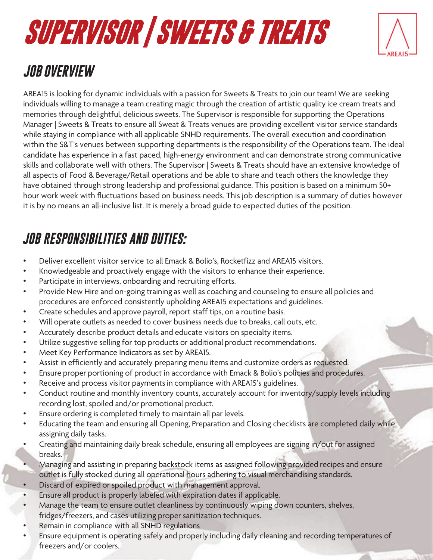# **SUPERVISOR | SWEETS & TREATS**



### *JOB OVERVIEW*

AREA15 is looking for dynamic individuals with a passion for Sweets & Treats to join our team! We are seeking individuals willing to manage a team creating magic through the creation of artistic quality ice cream treats and memories through delightful, delicious sweets. The Supervisor is responsible for supporting the Operations Manager | Sweets & Treats to ensure all Sweat & Treats venues are providing excellent visitor service standards while staying in compliance with all applicable SNHD requirements. The overall execution and coordination within the S&T's venues between supporting departments is the responsibility of the Operations team. The ideal candidate has experience in a fast paced, high-energy environment and can demonstrate strong communicative skills and collaborate well with others. The Supervisor | Sweets & Treats should have an extensive knowledge of all aspects of Food & Beverage/Retail operations and be able to share and teach others the knowledge they have obtained through strong leadership and professional guidance. This position is based on a minimum 50+ hour work week with fluctuations based on business needs. This job description is a summary of duties however it is by no means an all-inclusive list. It is merely a broad guide to expected duties of the position.

#### *JOB RESPONSIBILITIES AND DUTIES:*

- Deliver excellent visitor service to all Emack & Bolio's, Rocketfizz and AREA15 visitors.
- Knowledgeable and proactively engage with the visitors to enhance their experience.
- Participate in interviews, onboarding and recruiting efforts.
- Provide New Hire and on-going training as well as coaching and counseling to ensure all policies and procedures are enforced consistently upholding AREA15 expectations and guidelines.
- Create schedules and approve payroll, report staff tips, on a routine basis.
- Will operate outlets as needed to cover business needs due to breaks, call outs, etc.
- Accurately describe product details and educate visitors on specialty items.
- Utilize suggestive selling for top products or additional product recommendations.
- Meet Key Performance Indicators as set by AREA15.
- Assist in efficiently and accurately preparing menu items and customize orders as requested.
- Ensure proper portioning of product in accordance with Emack & Bolio's policies and procedures.
- Receive and process visitor payments in compliance with AREA15's guidelines.
- Conduct routine and monthly inventory counts, accurately account for inventory/supply levels including recording lost, spoiled and/or promotional product.
- Ensure ordering is completed timely to maintain all par levels.
- Educating the team and ensuring all Opening, Preparation and Closing checklists are completed daily while assigning daily tasks.
- Creating and maintaining daily break schedule, ensuring all employees are signing in/out for assigned breaks.
- Managing and assisting in preparing backstock items as assigned following provided recipes and ensure outlet is fully stocked during all operational hours adhering to visual merchandising standards.
- Discard of expired or spoiled product with management approval.
- Ensure all product is properly labeled with expiration dates if applicable.
- Manage the team to ensure outlet cleanliness by continuously wiping down counters, shelves, fridges/freezers, and cases utilizing proper sanitization techniques.
- Remain in compliance with all SNHD regulations
- Ensure equipment is operating safely and properly including daily cleaning and recording temperatures of freezers and/or coolers.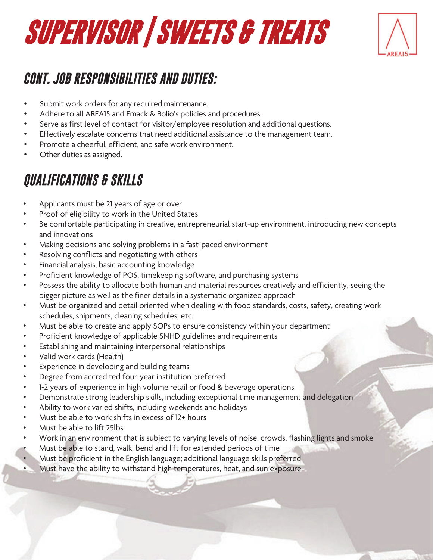

#### *CONT. JOB RESPONSIBILITIES AND DUTIES:*

- Submit work orders for any required maintenance.
- Adhere to all AREA15 and Emack & Bolio's policies and procedures.
- Serve as first level of contact for visitor/employee resolution and additional questions.
- Effectively escalate concerns that need additional assistance to the management team.
- Promote a cheerful, efficient, and safe work environment.
- Other duties as assigned.

### *QUALIFICATIONS & SKILLS*

- Applicants must be 21 years of age or over
- Proof of eligibility to work in the United States
- Be comfortable participating in creative, entrepreneurial start-up environment, introducing new concepts and innovations
- Making decisions and solving problems in a fast-paced environment
- Resolving conflicts and negotiating with others
- Financial analysis, basic accounting knowledge
- Proficient knowledge of POS, timekeeping software, and purchasing systems
- Possess the ability to allocate both human and material resources creatively and efficiently, seeing the bigger picture as well as the finer details in a systematic organized approach
- Must be organized and detail oriented when dealing with food standards, costs, safety, creating work schedules, shipments, cleaning schedules, etc.
- Must be able to create and apply SOPs to ensure consistency within your department
- Proficient knowledge of applicable SNHD guidelines and requirements
- Establishing and maintaining interpersonal relationships
- Valid work cards (Health)
- Experience in developing and building teams
- Degree from accredited four-year institution preferred
- 1-2 years of experience in high volume retail or food & beverage operations
- Demonstrate strong leadership skills, including exceptional time management and delegation
- Ability to work varied shifts, including weekends and holidays
- Must be able to work shifts in excess of 12+ hours
- Must be able to lift 25lbs
- Work in an environment that is subject to varying levels of noise, crowds, flashing lights and smoke
- Must be able to stand, walk, bend and lift for extended periods of time
- Must be proficient in the English language; additional language skills preferred
- Must have the ability to withstand high temperatures, heat, and sun exposure